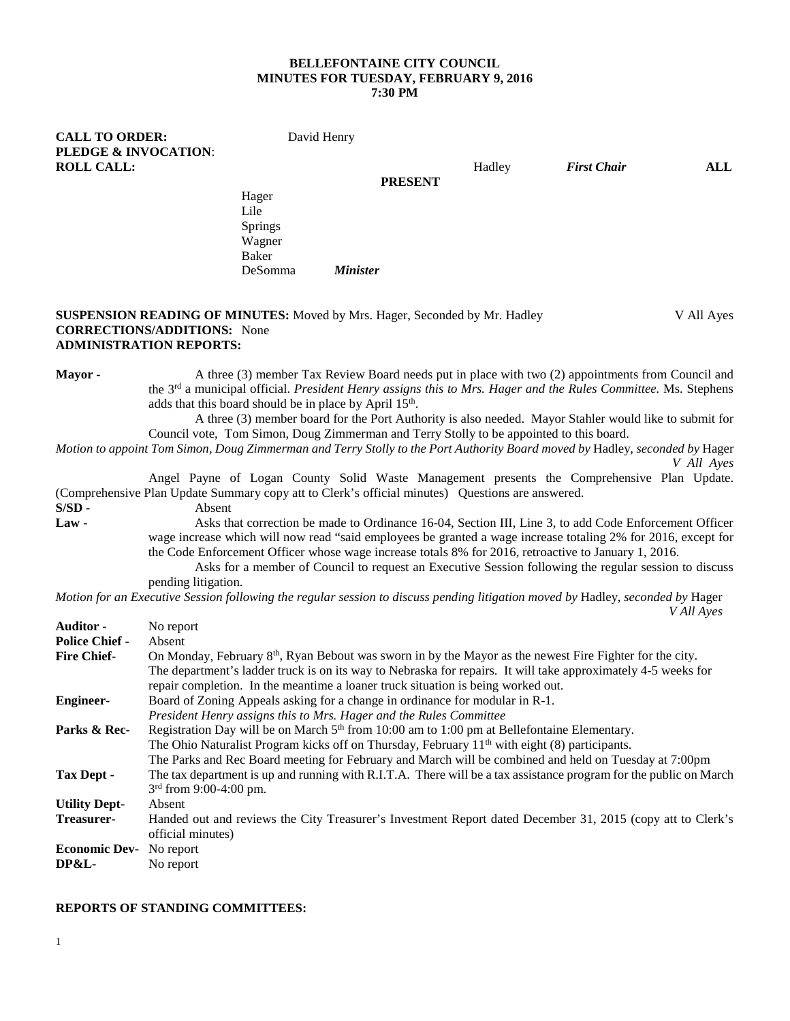#### **BELLEFONTAINE CITY COUNCIL MINUTES FOR TUESDAY, FEBRUARY 9, 2016 7:30 PM**

**CALL TO ORDER:** David Henry **PLEDGE & INVOCATION**: **ROLL CALL:** Hadley *First Chair* **ALL PRESENT** Hager Lile Springs Wagner Baker DeSomma *Minister*

### **SUSPENSION READING OF MINUTES:** Moved by Mrs. Hager, Seconded by Mr. Hadley V All Ayes **CORRECTIONS/ADDITIONS:** None **ADMINISTRATION REPORTS:**

**Mayor -** A three (3) member Tax Review Board needs put in place with two (2) appointments from Council and the 3rd a municipal official. *President Henry assigns this to Mrs. Hager and the Rules Committee.* Ms. Stephens adds that this board should be in place by April 15<sup>th</sup>.

> A three (3) member board for the Port Authority is also needed. Mayor Stahler would like to submit for Council vote, Tom Simon, Doug Zimmerman and Terry Stolly to be appointed to this board.

*Motion to appoint Tom Simon, Doug Zimmerman and Terry Stolly to the Port Authority Board moved by* Hadley, *seconded by* Hager  *V All Ayes*

Angel Payne of Logan County Solid Waste Management presents the Comprehensive Plan Update. (Comprehensive Plan Update Summary copy att to Clerk's official minutes) Questions are answered.

**S/SD -** Absent

**Law -** Asks that correction be made to Ordinance 16-04, Section III, Line 3, to add Code Enforcement Officer wage increase which will now read "said employees be granted a wage increase totaling 2% for 2016, except for the Code Enforcement Officer whose wage increase totals 8% for 2016, retroactive to January 1, 2016.

Asks for a member of Council to request an Executive Session following the regular session to discuss pending litigation.

*Motion for an Executive Session following the regular session to discuss pending litigation moved by* Hadley, *seconded by* Hager *V All Ayes*

| <b>Auditor -</b>      | No report                                                                                                            |
|-----------------------|----------------------------------------------------------------------------------------------------------------------|
| <b>Police Chief -</b> | Absent                                                                                                               |
| <b>Fire Chief-</b>    | On Monday, February 8 <sup>th</sup> , Ryan Bebout was sworn in by the Mayor as the newest Fire Fighter for the city. |
|                       | The department's ladder truck is on its way to Nebraska for repairs. It will take approximately 4-5 weeks for        |
|                       | repair completion. In the meantime a loaner truck situation is being worked out.                                     |
| <b>Engineer-</b>      | Board of Zoning Appeals asking for a change in ordinance for modular in R-1.                                         |
|                       | President Henry assigns this to Mrs. Hager and the Rules Committee                                                   |
| Parks & Rec-          | Registration Day will be on March $5th$ from 10:00 am to 1:00 pm at Bellefontaine Elementary.                        |
|                       | The Ohio Naturalist Program kicks off on Thursday, February $11th$ with eight (8) participants.                      |
|                       | The Parks and Rec Board meeting for February and March will be combined and held on Tuesday at 7:00pm                |
| Tax Dept -            | The tax department is up and running with R.I.T.A. There will be a tax assistance program for the public on March    |
|                       | $3rd$ from 9:00-4:00 pm.                                                                                             |
| <b>Utility Dept-</b>  | Absent                                                                                                               |
| Treasurer-            | Handed out and reviews the City Treasurer's Investment Report dated December 31, 2015 (copy att to Clerk's           |
|                       | official minutes)                                                                                                    |
| <b>Economic Dev-</b>  | No report                                                                                                            |
| <b>DP&amp;L-</b>      | No report                                                                                                            |

### **REPORTS OF STANDING COMMITTEES:**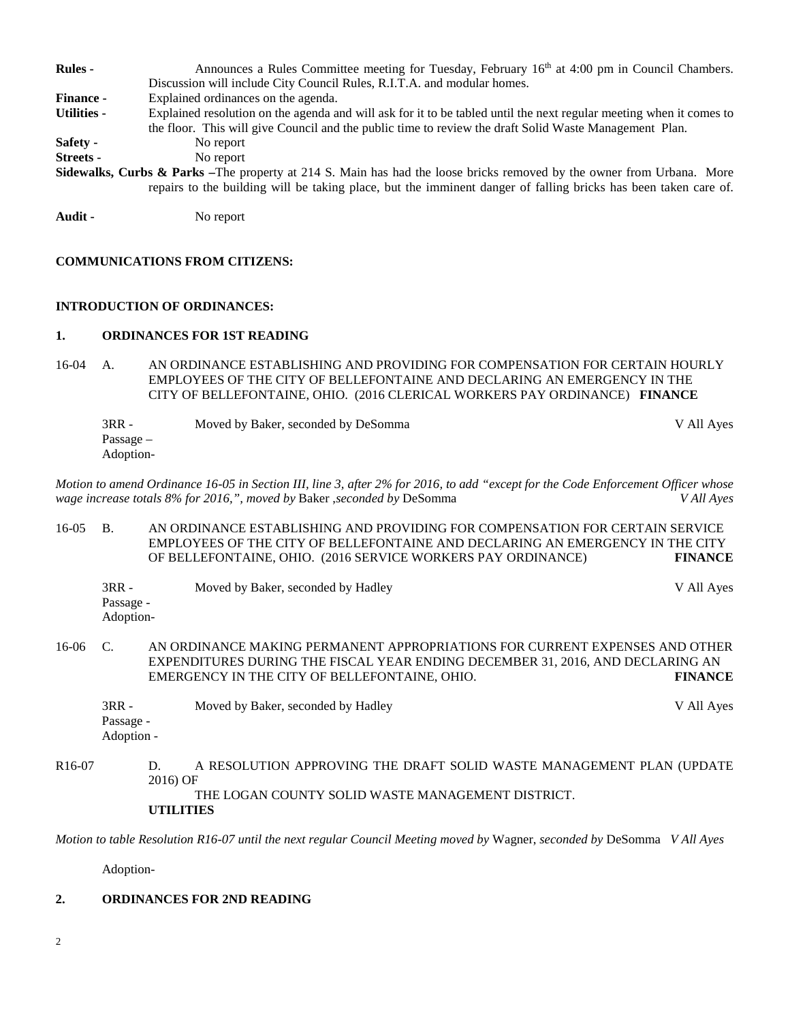**Rules -** Announces a Rules Committee meeting for Tuesday, February 16<sup>th</sup> at 4:00 pm in Council Chambers. Discussion will include City Council Rules, R.I.T.A. and modular homes. **Finance -** Explained ordinances on the agenda.<br> **Utilities -** Explained resolution on the agenda a Explained resolution on the agenda and will ask for it to be tabled until the next regular meeting when it comes to

- the floor. This will give Council and the public time to review the draft Solid Waste Management Plan. Safety - No report
- **Streets -** No report

**Sidewalks, Curbs & Parks –**The property at 214 S. Main has had the loose bricks removed by the owner from Urbana. More repairs to the building will be taking place, but the imminent danger of falling bricks has been taken care of.

**Audit -** No report

# **COMMUNICATIONS FROM CITIZENS:**

### **INTRODUCTION OF ORDINANCES:**

### **1. ORDINANCES FOR 1ST READING**

16-04 A. AN ORDINANCE ESTABLISHING AND PROVIDING FOR COMPENSATION FOR CERTAIN HOURLY EMPLOYEES OF THE CITY OF BELLEFONTAINE AND DECLARING AN EMERGENCY IN THE CITY OF BELLEFONTAINE, OHIO. (2016 CLERICAL WORKERS PAY ORDINANCE) **FINANCE**

| $3RR -$     | Moved by Baker, seconded by DeSomma | V All Ayes |
|-------------|-------------------------------------|------------|
| Passage $-$ |                                     |            |
| Adoption-   |                                     |            |

*Motion to amend Ordinance 16-05 in Section III, line 3, after 2% for 2016, to add "except for the Code Enforcement Officer whose wage increase totals 8% for 2016,", moved by* Baker ,*seconded by* DeSomma *V All Ayes*

16-05 B. AN ORDINANCE ESTABLISHING AND PROVIDING FOR COMPENSATION FOR CERTAIN SERVICE EMPLOYEES OF THE CITY OF BELLEFONTAINE AND DECLARING AN EMERGENCY IN THE CITY OF BELLEFONTAINE, OHIO. (2016 SERVICE WORKERS PAY ORDINANCE) **FINANCE**

| $3RR -$                | Moved by Baker, seconded by Hadley | V All Ayes |
|------------------------|------------------------------------|------------|
| Passage -<br>Adoption- |                                    |            |

16-06 C. AN ORDINANCE MAKING PERMANENT APPROPRIATIONS FOR CURRENT EXPENSES AND OTHER EXPENDITURES DURING THE FISCAL YEAR ENDING DECEMBER 31, 2016, AND DECLARING AN EMERGENCY IN THE CITY OF BELLEFONTAINE, OHIO. **FINANCE**

| $3RR -$    | Moved by Baker, seconded by Hadley | V All Ayes |
|------------|------------------------------------|------------|
| Passage -  |                                    |            |
| Adoption - |                                    |            |

R16-07 D. A RESOLUTION APPROVING THE DRAFT SOLID WASTE MANAGEMENT PLAN (UPDATE 2016) OF THE LOGAN COUNTY SOLID WASTE MANAGEMENT DISTRICT. **UTILITIES**

*Motion to table Resolution R16-07 until the next regular Council Meeting moved by* Wagner, *seconded by* DeSomma *V All Ayes*

Adoption-

# **2. ORDINANCES FOR 2ND READING**